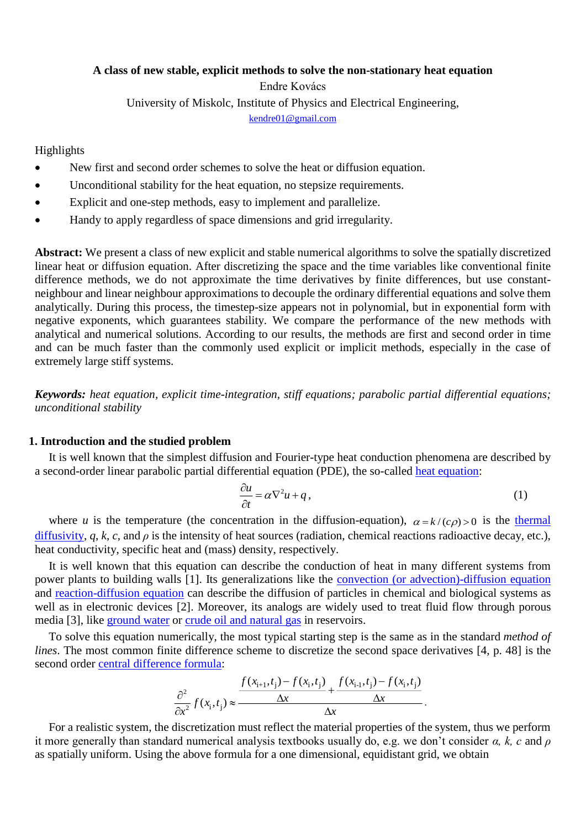## **A class of new stable, explicit methods to solve the non-stationary heat equation**

### Endre Kovács

## University of Miskolc, Institute of Physics and Electrical Engineering,

[kendre01@g](mailto:kendre01@)mail.com

## Highlights

- New first and second order schemes to solve the heat or diffusion equation.
- Unconditional stability for the heat equation, no stepsize requirements.
- Explicit and one-step methods, easy to implement and parallelize.
- Handy to apply regardless of space dimensions and grid irregularity.

**Abstract:** We present a class of new explicit and stable numerical algorithms to solve the spatially discretized linear heat or diffusion equation. After discretizing the space and the time variables like conventional finite difference methods, we do not approximate the time derivatives by finite differences, but use constantneighbour and linear neighbour approximations to decouple the ordinary differential equations and solve them analytically. During this process, the timestep-size appears not in polynomial, but in exponential form with negative exponents, which guarantees stability. We compare the performance of the new methods with analytical and numerical solutions. According to our results, the methods are first and second order in time and can be much faster than the commonly used explicit or implicit methods, especially in the case of extremely large stiff systems.

*Keywords: heat equation, explicit time-integration, stiff equations; parabolic partial differential equations; unconditional stability*

## **1. Introduction and the studied problem**

It is well known that the simplest diffusion and Fourier-type heat conduction phenomena are described by a second-order linear parabolic partial differential equation (PDE), the so-called [heat equation:](https://en.wikipedia.org/wiki/Heat_equation)

$$
\frac{\partial u}{\partial t} = \alpha \nabla^2 u + q \,,\tag{1}
$$

where *u* is the temperature (the concentration in the diffusion-equation),  $\alpha = k/(c\rho) > 0$  is the thermal [diffusivity,](https://en.wikipedia.org/wiki/Thermal_diffusivity)  $q$ ,  $k$ ,  $c$ , and  $\rho$  is the intensity of heat sources (radiation, chemical reactions radioactive decay, etc.), heat conductivity, specific heat and (mass) density, respectively.

It is well known that this equation can describe the conduction of heat in many different systems from power plants to building walls [1]. Its generalizations like the [convection \(or advection\)-diffusion equation](https://www.sciencedirect.com/topics/physics-and-astronomy/convection-diffusion-equation) and [reaction-diffusion equation](https://www.sciencedirect.com/topics/earth-and-planetary-sciences/reaction-diffusion-equation) can describe the diffusion of particles in chemical and biological systems as well as in electronic devices [2]. Moreover, its analogs are widely used to treat fluid flow through porous media [3], like [ground water](https://en.wikipedia.org/wiki/Groundwater_flow_equation) or crude oil and natural gas in reservoirs.

To solve this equation numerically, the most typical starting step is the same as in the standard *method of lines*. The most common finite difference scheme to discretize the second space derivatives [4, p. 48] is the second order [central difference formula:](https://en.wikipedia.org/wiki/Finite_difference#Higher-order_differences)

$$
\frac{\partial^2}{\partial x^2} f(x_i, t_j) \approx \frac{\frac{f(x_{i+1}, t_j) - f(x_i, t_j)}{\Delta x} + \frac{f(x_{i-1}, t_j) - f(x_i, t_j)}{\Delta x}}{\Delta x}.
$$

For a realistic system, the discretization must reflect the material properties of the system, thus we perform it more generally than standard numerical analysis textbooks usually do, e.g. we don't consider *α, k, c* and *ρ* as spatially uniform. Using the above formula for a one dimensional, equidistant grid, we obtain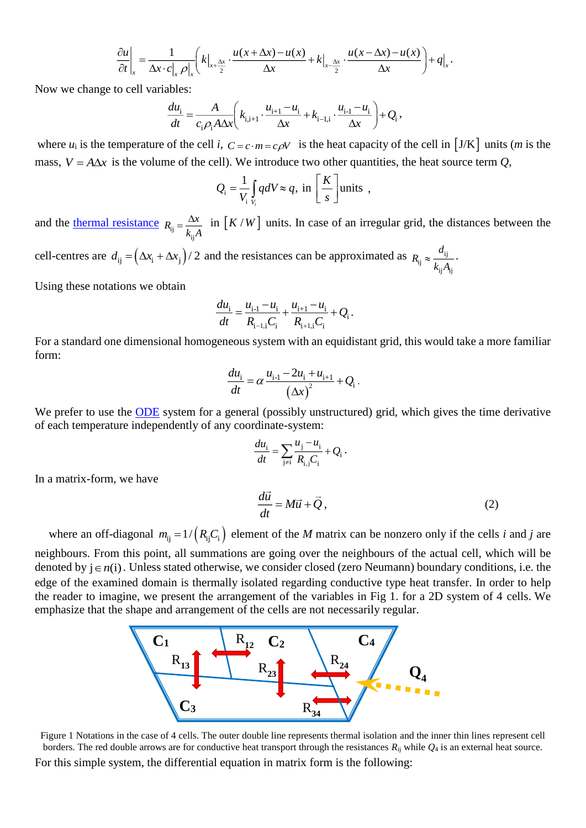$$
\frac{\partial u}{\partial t}\bigg|_{x} = \frac{1}{\Delta x \cdot c\bigg|_{x} \rho\bigg|_{x}} \bigg(k\bigg|_{x+\frac{\Delta x}{2}} \cdot \frac{u(x+\Delta x) - u(x)}{\Delta x} + k\bigg|_{x-\frac{\Delta x}{2}} \cdot \frac{u(x-\Delta x) - u(x)}{\Delta x}\bigg) + q\bigg|_{x}.
$$

Now we change to cell variables:

$$
\frac{du_i}{dt} = \frac{A}{c_i \rho_i A \Delta x} \left( k_{i,i+1} \cdot \frac{u_{i+1} - u_i}{\Delta x} + k_{i-1,i} \cdot \frac{u_{i-1} - u_i}{\Delta x} \right) + Q_i,
$$

where  $u_i$  is the temperature of the cell *i*,  $C = c \cdot m = c\rho V$  is the heat capacity of the cell in [J/K] units (*m* is the mass,  $V = A\Delta x$  is the volume of the cell). We introduce two other quantities, the heat source term *Q*,

$$
Q_{i} = \frac{1}{V_{i}} \int_{V_{i}} q dV \approx q, \text{ in } \left[\frac{K}{s}\right] \text{units} ,
$$

and the <u>thermal resistance</u>  $R_{ij}$ ij  $R_{ii} = \frac{\Delta x}{\Delta t}$  $k_{::}A$  $=\frac{\Delta x}{\Delta t}$  in [K/W] units. In case of an irregular grid, the distances between the

cell-centres are  $d_{ij} = (\Delta x_i + \Delta x_j)/2$  and the resistances can be approximated as  $R_{ij} \approx \frac{d_{ij}}{k}$ ij ij ij *d R*  $\approx \frac{u_{ij}}{k_{ii}A_{ii}}$ .

Using these notations we obtain

$$
\frac{du_i}{dt} = \frac{u_{i-1} - u_i}{R_{i-1,i}C_i} + \frac{u_{i+1} - u_i}{R_{i+1,i}C_i} + Q_i.
$$

For a standard one dimensional homogeneous system with an equidistant grid, this would take a more familiar form:

$$
\frac{du_{i}}{dt} = \alpha \frac{u_{i-1} - 2u_{i} + u_{i+1}}{(\Delta x)^{2}} + Q_{i}.
$$

We prefer to use the **ODE** system for a general (possibly unstructured) grid, which gives the time derivative of each temperature independently of any coordinate-system:

$$
\frac{du_i}{dt} = \sum_{j \neq i} \frac{u_j - u_i}{R_{i,j}C_i} + Q_i.
$$
\n
$$
\frac{d\vec{u}}{dt} = M\vec{u} + \vec{Q},
$$
\n(2)

In a matrix-form, we have

where an off-diagonal 
$$
m_{ij} = 1/(R_{ij}C_i)
$$
 element of the *M* matrix can be nonzero only if the cells *i* and *j* are  
neighbors. From this point, all summations are going over the neighbours of the actual cell, which will be  
denoted by  $j \in n(i)$ . Unless stated otherwise, we consider closed (zero Neumann) boundary conditions, i.e. the  
edge of the examined domain is thermally isolated regarding conductive type heat transfer. In order to help  
the reader to imagine, we present the arrangement of the variables in Fig 1. for a 2D system of 4 cells. We  
emphasize that the shape and arrangement of the cells are not necessarily regular.



Figure 1 Notations in the case of 4 cells. The outer double line represents thermal isolation and the inner thin lines represent cell borders. The red double arrows are for conductive heat transport through the resistances  $R_{ij}$  while  $Q_4$  is an external heat source. For this simple system, the differential equation in matrix form is the following: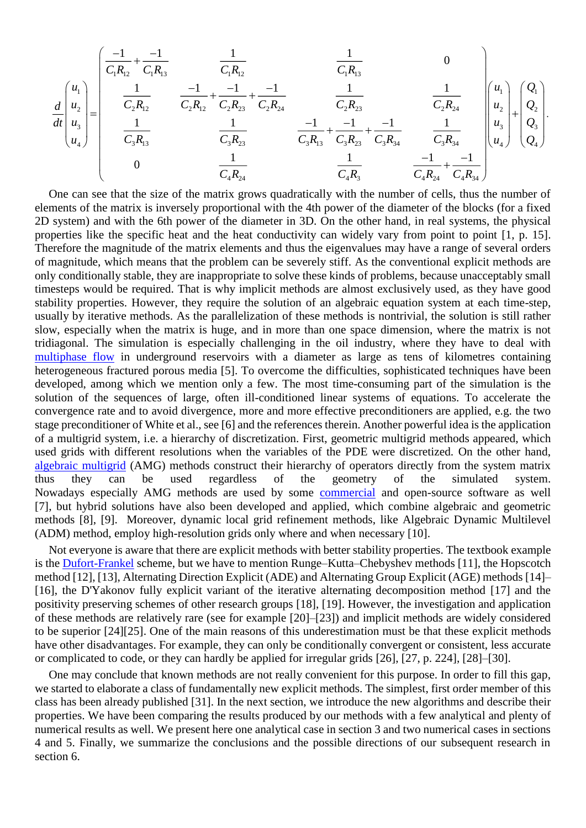$$
\frac{d}{dt} \begin{pmatrix} u_1 \\ u_2 \\ u_3 \\ u_4 \end{pmatrix} = \begin{pmatrix} \frac{-1}{C_1 R_{12}} + \frac{-1}{C_1 R_{13}} & \frac{1}{C_1 R_{12}} & \frac{1}{C_1 R_{13}} & 0 \\ \frac{1}{C_2 R_{12}} & \frac{-1}{C_2 R_{12}} + \frac{-1}{C_2 R_{23}} + \frac{-1}{C_2 R_{24}} & \frac{1}{C_2 R_{23}} & \frac{1}{C_2 R_{24}} \\ \frac{1}{C_3 R_{13}} & \frac{1}{C_3 R_{23}} & \frac{-1}{C_3 R_{13}} + \frac{-1}{C_3 R_{23}} + \frac{-1}{C_3 R_{34}} & \frac{1}{C_3 R_{34}} \\ 0 & \frac{1}{C_4 R_{24}} & \frac{1}{C_4 R_{3}} & \frac{-1}{C_4 R_{3}} + \frac{-1}{C_4 R_{3}} + \frac{-1}{C_4 R_{3}} \end{pmatrix} \begin{pmatrix} u_1 \\ u_2 \\ u_3 \\ u_4 \end{pmatrix} + \begin{pmatrix} Q_1 \\ Q_2 \\ Q_3 \\ Q_4 \end{pmatrix}.
$$
\nOne can see that the size of the matrix grows quadratically with the number of cells, thus the number of

.

One can see that the size of the matrix grows quadratically with the number of cells, thus the number of elements of the matrix is inversely proportional with the 4th power of the diameter of the blocks (for a fixed 2D system) and with the 6th power of the diameter in 3D. On the other hand, in real systems, the physical properties like the specific heat and the heat conductivity can widely vary from point to point [1, p. 15]. Therefore the magnitude of the matrix elements and thus the eigenvalues may have a range of several orders of magnitude, which means that the problem can be severely stiff. As the conventional explicit methods are only conditionally stable, they are inappropriate to solve these kinds of problems, because unacceptably small timesteps would be required. That is why implicit methods are almost exclusively used, as they have good stability properties. However, they require the solution of an algebraic equation system at each time-step, usually by iterative methods. As the parallelization of these methods is nontrivial, the solution is still rather slow, especially when the matrix is huge, and in more than one space dimension, where the matrix is not tridiagonal. The simulation is especially challenging in the oil industry, where they have to deal with [multiphase flow](https://en.wikipedia.org/wiki/Multiphase_flow) in underground reservoirs with a diameter as large as tens of kilometres containing heterogeneous fractured porous media [5]. To overcome the difficulties, sophisticated techniques have been developed, among which we mention only a few. The most time-consuming part of the simulation is the solution of the sequences of large, often ill-conditioned linear systems of equations. To accelerate the convergence rate and to avoid divergence, more and more effective preconditioners are applied, e.g. the two stage preconditioner of White et al., see [6] and the references therein. Another powerful idea is the application of a multigrid system, i.e. a hierarchy of discretization. First, geometric multigrid methods appeared, which used grids with different resolutions when the variables of the PDE were discretized. On the other hand, [algebraic multigrid](https://en.wikipedia.org/wiki/Multigrid_method#Algebraic_MultiGrid_(AMG)) (AMG) methods construct their hierarchy of operators directly from the system matrix thus they can be used regardless of the geometry of the simulated system. Nowadays especially AMG methods are used by some [commercial](https://www.afs.enea.it/project/neptunius/docs/fluent/html/th/node385.htm) and open-source software as well [7], but hybrid solutions have also been developed and applied, which combine algebraic and geometric methods [8], [9]. Moreover, dynamic local grid refinement methods, like Algebraic Dynamic Multilevel (ADM) method, employ high-resolution grids only where and when necessary [10].

Not everyone is aware that there are explicit methods with better stability properties. The textbook example is the [Dufort-Frankel](http://www.cmth.ph.ic.ac.uk/people/a.mackinnon/Lectures/compphys/node35.html) scheme, but we have to mention Runge–Kutta–Chebyshev methods [11], the Hopscotch method [12], [13], Alternating Direction Explicit (ADE) and Alternating Group Explicit (AGE) methods [14]– [16], the D'Yakonov fully explicit variant of the iterative alternating decomposition method [17] and the positivity preserving schemes of other research groups [18], [19]. However, the investigation and application of these methods are relatively rare (see for example [20]–[23]) and implicit methods are widely considered to be superior [24][25]. One of the main reasons of this underestimation must be that these explicit methods have other disadvantages. For example, they can only be conditionally convergent or consistent, less accurate or complicated to code, or they can hardly be applied for irregular grids [26], [27, p. 224], [28]–[30].

One may conclude that known methods are not really convenient for this purpose. In order to fill this gap, we started to elaborate a class of fundamentally new explicit methods. The simplest, first order member of this class has been already published [31]. In the next section, we introduce the new algorithms and describe their properties. We have been comparing the results produced by our methods with a few analytical and plenty of numerical results as well. We present here one analytical case in section 3 and two numerical cases in sections 4 and 5. Finally, we summarize the conclusions and the possible directions of our subsequent research in section 6.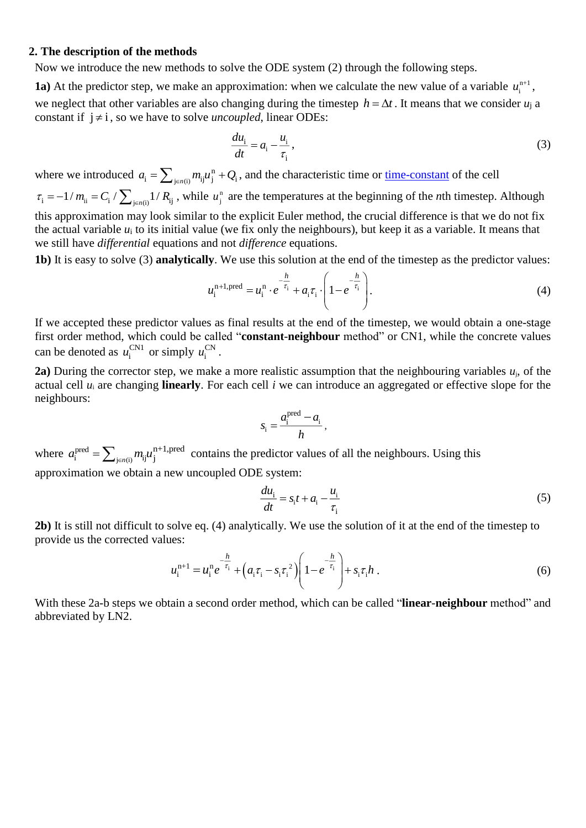### **2. The description of the methods**

Now we introduce the new methods to solve the ODE system (2) through the following steps.

**1a**) At the predictor step, we make an approximation: when we calculate the new value of a variable  $u_i^{n+1}$ , we neglect that other variables are also changing during the timestep  $h = \Delta t$ . It means that we consider  $u_j$  a constant if  $j \neq i$ , so we have to solve *uncoupled*, linear ODEs:

$$
\frac{du_i}{dt} = a_i - \frac{u_i}{\tau_i},\tag{3}
$$

where we introduced  $a_i = \sum_{j \in n(i)} a_j$  $a_i = \sum_{i \in n(i)} m_{ij} u_i^n + Q_i$ , and the characteristic time or <u>time-constant</u> of the cell  $\tau_i = -1/m_{ii} = C_i / \sum_{j \in n(i)} 1/R_{ij}$ , while  $u_i^n$  are the temperatures at the beginning of the *n*th timestep. Although this approximation may look similar to the explicit Euler method, the crucial difference is that we do not fix the actual variable  $u_i$  to its initial value (we fix only the neighbours), but keep it as a variable. It means that we still have *differential* equations and not *difference* equations.

**1b)** It is easy to solve (3) **analytically**. We use this solution at the end of the timestep as the predictor values:

$$
u_{i}^{n+1, pred} = u_{i}^{n} \cdot e^{-\frac{h}{\tau_{i}}} + a_{i} \tau_{i} \cdot \left(1 - e^{-\frac{h}{\tau_{i}}}\right).
$$
\n(4)

If we accepted these predictor values as final results at the end of the timestep, we would obtain a one-stage first order method, which could be called "**constant**-**neighbour** method" or CN1, while the concrete values can be denoted as  $u_i^{\text{CN1}}$  $u_i^{\text{CN1}}$  or simply  $u_i^{\text{CN}}$  $u_i^{\text{CN}}$ .

**2a)** During the corrector step, we make a more realistic assumption that the neighbouring variables *u*j, of the actual cell *u*<sup>i</sup> are changing **linearly**. For each cell *i* we can introduce an aggregated or effective slope for the neighbours:

$$
s_{\rm i}=\frac{a_{\rm i}^{\rm pred}-a_{\rm i}}{h}\,,
$$

where  $a_i^{\text{pred}} = \sum_{j \in n(i)}$ pred i  $\sum_{j \in n(i)} n_{ij}$ n+1,pred  $a_i^{\text{pred}} = \sum_{j \in n(i)} m_{ij} u_j^{\text{n+1,pred}}$  contains the predictor values of all the neighbours. Using this approximation we obtain a new uncoupled ODE system:

$$
\frac{du_i}{dt} = s_i t + a_i - \frac{u_i}{\tau_i} \tag{5}
$$

**2b)** It is still not difficult to solve eq. (4) analytically. We use the solution of it at the end of the timestep to provide us the corrected values:

$$
u_{i}^{n+1} = u_{i}^{n} e^{-\frac{h}{\tau_{i}}} + (a_{i} \tau_{i} - s_{i} \tau_{i}^{2}) \left( 1 - e^{-\frac{h}{\tau_{i}}} \right) + s_{i} \tau_{i} h . \tag{6}
$$

With these 2a-b steps we obtain a second order method, which can be called "**linear**-**neighbour** method" and abbreviated by LN2.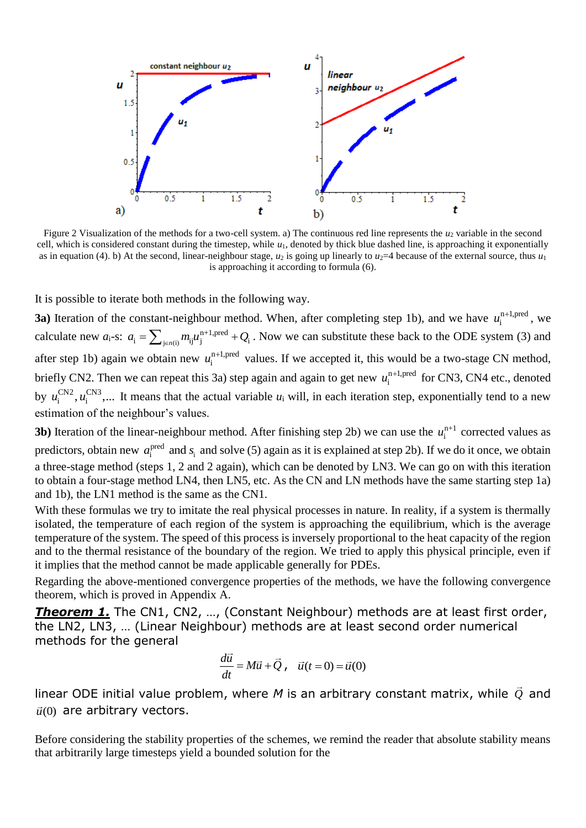

Figure 2 Visualization of the methods for a two-cell system. a) The continuous red line represents the  $u_2$  variable in the second cell, which is considered constant during the timestep, while *u*1, denoted by thick blue dashed line, is approaching it exponentially as in equation (4). b) At the second, linear-neighbour stage,  $u_2$  is going up linearly to  $u_2$ =4 because of the external source, thus  $u_1$ is approaching it according to formula (6).

It is possible to iterate both methods in the following way.

**3a**) Iteration of the constant-neighbour method. When, after completing step 1b), and we have  $u_i^{\text{n+1,pred}}$ , we calculate new  $a_i$ -s:  $a_i = \sum_{j \in n(i)} a_j$  $a_i = \sum_{i \in n(i)} m_{ij} u_j^{n+1, pred} + Q_i$ . Now we can substitute these back to the ODE system (3) and after step 1b) again we obtain new  $u_i^{n+1, pred}$  values. If we accepted it, this would be a two-stage CN method, briefly CN2. Then we can repeat this 3a) step again and again to get new  $u_i^{\text{n+1,pred}}$  $u_i^{\text{n+1,pred}}$  for CN3, CN4 etc., denoted by  $u_i^{\text{CN2}}, u_i^{\text{CN3}}, \dots$  It means that the actual variable  $u_i$  will, in each iteration step, exponentially tend to a new estimation of the neighbour's values.

**3b**) Iteration of the linear-neighbour method. After finishing step 2b) we can use the  $u_i^{n+1}$  $u_i^{n+1}$  corrected values as predictors, obtain new  $a_i^{\text{pred}}$  and  $s_i$  and solve (5) again as it is explained at step 2b). If we do it once, we obtain a three-stage method (steps 1, 2 and 2 again), which can be denoted by LN3. We can go on with this iteration to obtain a four-stage method LN4, then LN5, etc. As the CN and LN methods have the same starting step 1a) and 1b), the LN1 method is the same as the CN1.

With these formulas we try to imitate the real physical processes in nature. In reality, if a system is thermally isolated, the temperature of each region of the system is approaching the equilibrium, which is the average temperature of the system. The speed of this process is inversely proportional to the heat capacity of the region and to the thermal resistance of the boundary of the region. We tried to apply this physical principle, even if it implies that the method cannot be made applicable generally for PDEs.

Regarding the above-mentioned convergence properties of the methods, we have the following convergence theorem, which is proved in Appendix A.

**Theorem 1.** The CN1, CN2, ..., (Constant Neighbour) methods are at least first order, the LN2, LN3, … (Linear Neighbour) methods are at least second order numerical methods for the general

$$
\frac{d\vec{u}}{dt} = M\vec{u} + \vec{Q} , \quad \vec{u}(t=0) = \vec{u}(0)
$$

linear ODE initial value problem, where M is an arbitrary constant matrix, while Q and  $\vec{u}(0)$  are arbitrary vectors.

Before considering the stability properties of the schemes, we remind the reader that absolute stability means that arbitrarily large timesteps yield a bounded solution for the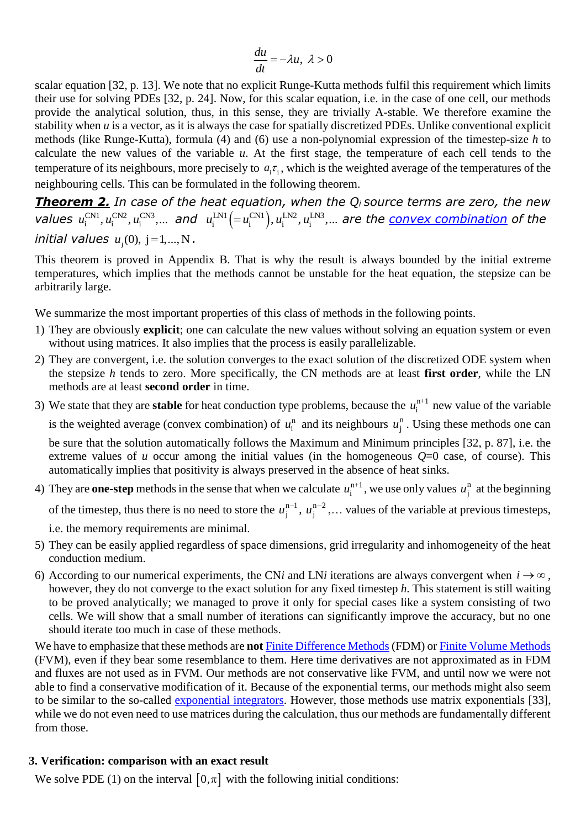$$
\frac{du}{dt} = -\lambda u, \ \lambda > 0
$$

scalar equation [32, p. 13]. We note that no explicit Runge-Kutta methods fulfil this requirement which limits their use for solving PDEs [32, p. 24]. Now, for this scalar equation, i.e. in the case of one cell, our methods provide the analytical solution, thus, in this sense, they are trivially A-stable. We therefore examine the stability when  $u$  is a vector, as it is always the case for spatially discretized PDEs. Unlike conventional explicit methods (like Runge-Kutta), formula (4) and (6) use a non-polynomial expression of the timestep-size *h* to calculate the new values of the variable *u*. At the first stage, the temperature of each cell tends to the temperature of its neighbours, more precisely to  $a_i \tau_i$ , which is the weighted average of the temperatures of the neighbouring cells. This can be formulated in the following theorem.

*Theorem 2. In case of the heat equation, when the Qi source terms are zero, the new values*  $u_i^{\text{CN1}}, u_i^{\text{CN2}}, u_i^{\text{CN3}}$  $u_i^{\text{CN1}}, u_i^{\text{CN2}}, u_i^{\text{CN3}}, \dots$  and  $u_i^{\text{LN1}}\left(=u_i^{\text{CN1}}\right), u_i^{\text{LN2}}, u_i^{\text{LN3}}$  $u_i^{\text{LNI}}\bigl(=u_i^{\text{CNI}}\bigr), u_i^{\text{LNI}}, u_i^{\text{LNS}}, ...$  are the <u>convex combination</u> of the *initial values*  $u_j(0)$ , j=1,..., N *.* 

This theorem is proved in Appendix B. That is why the result is always bounded by the initial extreme temperatures, which implies that the methods cannot be unstable for the heat equation, the stepsize can be arbitrarily large.

We summarize the most important properties of this class of methods in the following points.

- 1) They are obviously **explicit**; one can calculate the new values without solving an equation system or even without using matrices. It also implies that the process is easily parallelizable.
- 2) They are convergent, i.e. the solution converges to the exact solution of the discretized ODE system when the stepsize *h* tends to zero. More specifically, the CN methods are at least **first order**, while the LN methods are at least **second order** in time.
- 3) We state that they are **stable** for heat conduction type problems, because the  $u_i^{n+1}$  $u_i^{n+1}$  new value of the variable

is the weighted average (convex combination) of  $u_i^n$  and its neighbours  $u_j^n$ . Using these methods one can

be sure that the solution automatically follows the Maximum and Minimum principles [32, p. 87], i.e. the extreme values of *u* occur among the initial values (in the homogeneous  $Q=0$  case, of course). This automatically implies that positivity is always preserved in the absence of heat sinks.

4) They are **one-step** methods in the sense that when we calculate  $u_i^{n+1}$  $u_i^{n+1}$ , we use only values  $u_j^n$  at the beginning of the timestep, thus there is no need to store the  $u_i^{n-1}$  $u_j^{n-1}, u_j^{n-2}$  $u_j^{n-2}$ ,... values of the variable at previous timesteps,

i.e. the memory requirements are minimal.

- 5) They can be easily applied regardless of space dimensions, grid irregularity and inhomogeneity of the heat conduction medium.
- 6) According to our numerical experiments, the CN*i* and LN*i* iterations are always convergent when  $i \rightarrow \infty$ , however, they do not converge to the exact solution for any fixed timestep *h*. This statement is still waiting to be proved analytically; we managed to prove it only for special cases like a system consisting of two cells. We will show that a small number of iterations can significantly improve the accuracy, but no one should iterate too much in case of these methods.

We have to emphasize that these methods are **not** [Finite Difference Methods](https://www.sciencedirect.com/topics/engineering/finite-difference-method) (FDM) o[r Finite Volume Methods](https://www.sciencedirect.com/topics/engineering/finite-volume-method) (FVM), even if they bear some resemblance to them. Here time derivatives are not approximated as in FDM and fluxes are not used as in FVM. Our methods are not conservative like FVM, and until now we were not able to find a conservative modification of it. Because of the exponential terms, our methods might also seem to be similar to the so-called [exponential integrators.](https://en.wikipedia.org/wiki/Exponential_integrator) However, those methods use matrix exponentials [33], while we do not even need to use matrices during the calculation, thus our methods are fundamentally different from those.

## **3. Verification: comparison with an exact result**

We solve PDE (1) on the interval  $[0, \pi]$  with the following initial conditions: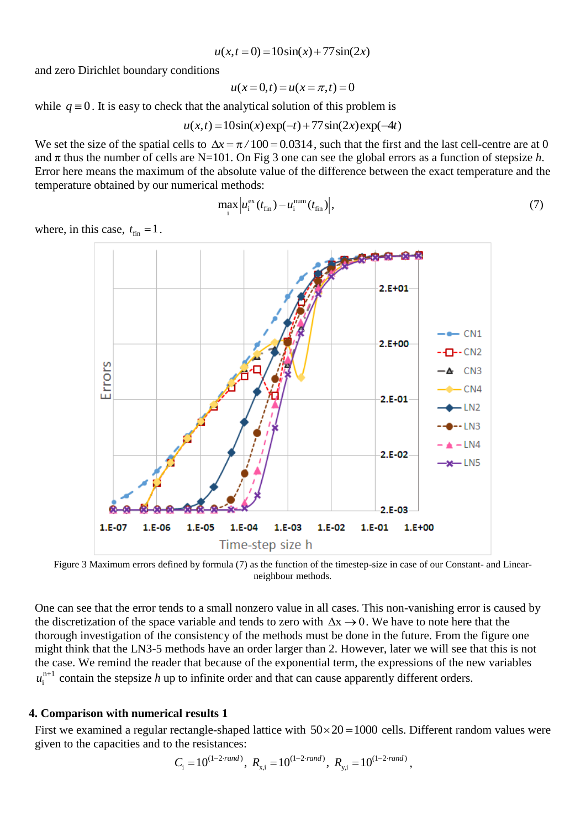$$
u(x,t=0) = 10\sin(x) + 77\sin(2x)
$$

and zero Dirichlet boundary conditions

$$
u(x=0,t) = u(x=\pi,t) = 0
$$

while  $q \equiv 0$ . It is easy to check that the analytical solution of this problem is

$$
u(x,t) = 10\sin(x)\exp(-t) + 77\sin(2x)\exp(-4t)
$$

We set the size of the spatial cells to  $\Delta x = \pi / 100 = 0.0314$ , such that the first and the last cell-centre are at 0 and  $\pi$  thus the number of cells are N=101. On Fig 3 one can see the global errors as a function of stepsize h. Error here means the maximum of the absolute value of the difference between the exact temperature and the temperature obtained by our numerical methods:

$$
\max_{i} |u_i^{\text{ex}}(t_{\text{fin}}) - u_i^{\text{num}}(t_{\text{fin}})|, \tag{7}
$$

where, in this case,  $t_{fin} = 1$ .



Figure 3 Maximum errors defined by formula (7) as the function of the timestep-size in case of our Constant- and Linearneighbour methods.

One can see that the error tends to a small nonzero value in all cases. This non-vanishing error is caused by the discretization of the space variable and tends to zero with  $\Delta x \rightarrow 0$ . We have to note here that the thorough investigation of the consistency of the methods must be done in the future. From the figure one might think that the LN3-5 methods have an order larger than 2. However, later we will see that this is not the case. We remind the reader that because of the exponential term, the expressions of the new variables n+1  $u_i^{n+1}$  contain the stepsize *h* up to infinite order and that can cause apparently different orders.

#### **4. Comparison with numerical results 1**

First we examined a regular rectangle-shaped lattice with  $50 \times 20 = 1000$  cells. Different random values were given to the capacities and to the resistances:

$$
C_i = 10^{(1-2\text{ rand})}
$$
,  $R_{x,i} = 10^{(1-2\text{ rand})}$ ,  $R_{y,i} = 10^{(1-2\text{ rand})}$ ,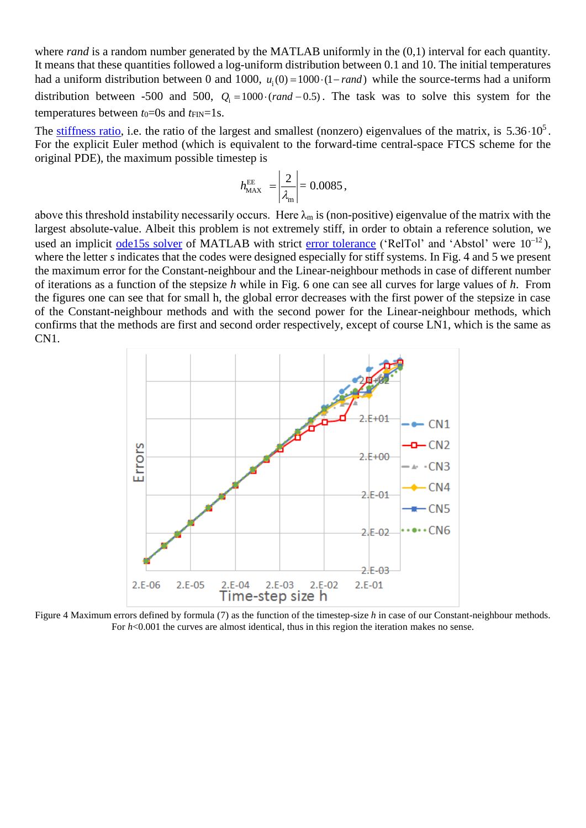where *rand* is a random number generated by the MATLAB uniformly in the  $(0,1)$  interval for each quantity. It means that these quantities followed a log-uniform distribution between 0.1 and 10. The initial temperatures had a uniform distribution between 0 and 1000,  $u_i(0) = 1000 \cdot (1 - rand)$  while the source-terms had a uniform distribution between -500 and 500,  $Q_i = 1000 \cdot (rand - 0.5)$ . The task was to solve this system for the temperatures between  $t_0$ =0s and  $t_{\text{FIN}}$ =1s.

The [stiffness ratio,](https://en.wikipedia.org/wiki/Stiff_equation#Stiffness_ratio) i.e. the ratio of the largest and smallest (nonzero) eigenvalues of the matrix, is  $5.36 \cdot 10^5$ . For the explicit Euler method (which is equivalent to the forward-time central-space FTCS scheme for the original PDE), the maximum possible timestep is

$$
h_{\text{MAX}}^{\text{EE}} = \left| \frac{2}{\lambda_{\text{m}}} \right| = 0.0085,
$$

above this threshold instability necessarily occurs. Here  $\lambda_m$  is (non-positive) eigenvalue of the matrix with the largest absolute-value. Albeit this problem is not extremely stiff, in order to obtain a reference solution, we used an implicit  $\frac{ode15s}{solver}$  of MATLAB with strict  $\frac{error}{tolver}$  tolerance ('RelTol' and 'Abstol' were  $10^{-12}$ ), where the letter *s* indicates that the codes were designed especially for stiff systems. In Fig. 4 and 5 we present the maximum error for the Constant-neighbour and the Linear-neighbour methods in case of different number of iterations as a function of the stepsize *h* while in Fig. 6 one can see all curves for large values of *h*. From the figures one can see that for small h, the global error decreases with the first power of the stepsize in case of the Constant-neighbour methods and with the second power for the Linear-neighbour methods, which confirms that the methods are first and second order respectively, except of course LN1, which is the same as CN1.



Figure 4 Maximum errors defined by formula (7) as the function of the timestep-size *h* in case of our Constant-neighbour methods. For  $h$ <0.001 the curves are almost identical, thus in this region the iteration makes no sense.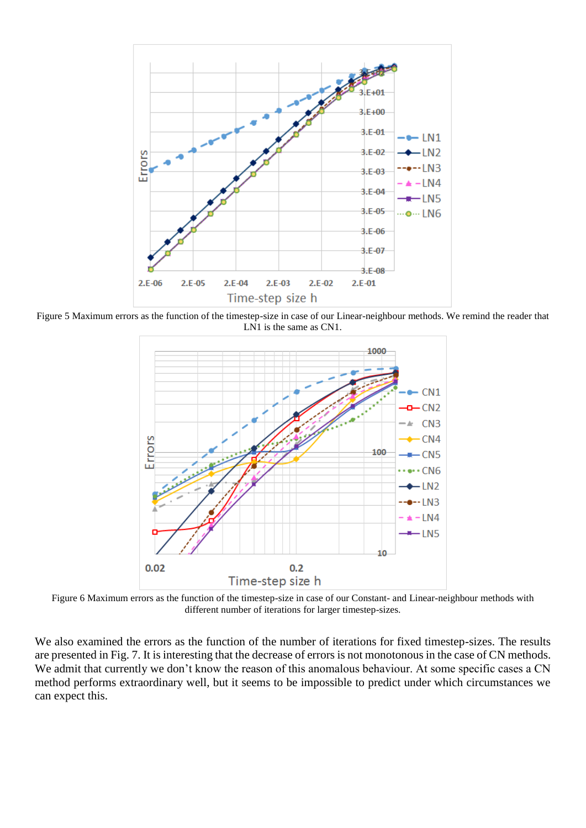

Figure 5 Maximum errors as the function of the timestep-size in case of our Linear-neighbour methods. We remind the reader that LN1 is the same as CN1.



Figure 6 Maximum errors as the function of the timestep-size in case of our Constant- and Linear-neighbour methods with different number of iterations for larger timestep-sizes.

We also examined the errors as the function of the number of iterations for fixed timestep-sizes. The results are presented in Fig. 7. It is interesting that the decrease of errors is not monotonous in the case of CN methods. We admit that currently we don't know the reason of this anomalous behaviour. At some specific cases a CN method performs extraordinary well, but it seems to be impossible to predict under which circumstances we can expect this.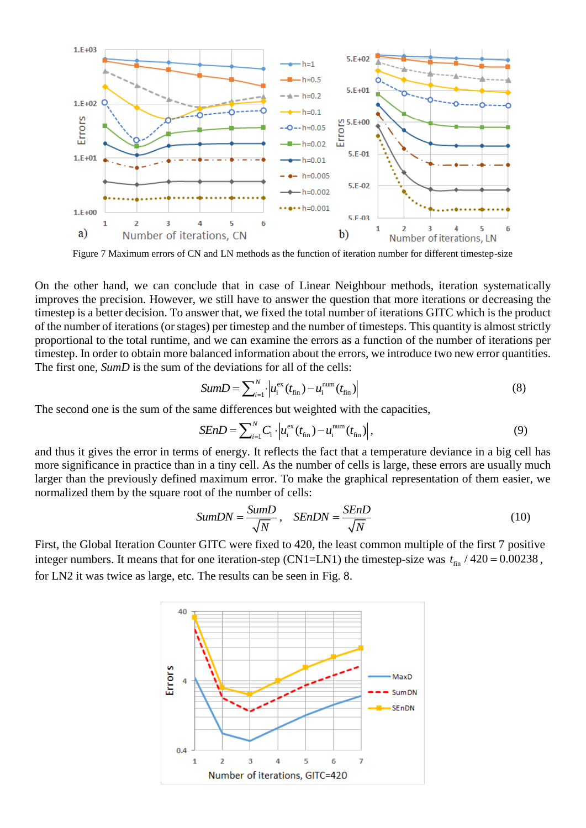

Figure 7 Maximum errors of CN and LN methods as the function of iteration number for different timestep-size

On the other hand, we can conclude that in case of Linear Neighbour methods, iteration systematically improves the precision. However, we still have to answer the question that more iterations or decreasing the timestep is a better decision. To answer that, we fixed the total number of iterations GITC which is the product of the number of iterations (or stages) per timestep and the number of timesteps. This quantity is almost strictly proportional to the total runtime, and we can examine the errors as a function of the number of iterations per timestep. In order to obtain more balanced information about the errors, we introduce two new error quantities. The first one, *SumD* is the sum of the deviations for all of the cells:

$$
SumD = \sum_{i=1}^{N} \left| u_i^{ex}(t_{fin}) - u_i^{num}(t_{fin}) \right|
$$
\n(8)

The second one is the sum of the same differences but weighted with the capacities,

$$
SEnD = \sum_{i=1}^{N} C_i \cdot \left| u_i^{ex}(t_{fin}) - u_i^{num}(t_{fin}) \right|,
$$
\n(9)

and thus it gives the error in terms of energy. It reflects the fact that a temperature deviance in a big cell has more significance in practice than in a tiny cell. As the number of cells is large, these errors are usually much larger than the previously defined maximum error. To make the graphical representation of them easier, we normalized them by the square root of the number of cells:

$$
SumDN = \frac{SumD}{\sqrt{N}}, \quad SEMDN = \frac{SEND}{\sqrt{N}}
$$
\n(10)

First, the Global Iteration Counter GITC were fixed to 420, the least common multiple of the first 7 positive integer numbers. It means that for one iteration-step (CN1=LN1) the timestep-size was  $t_{fin}$  / 420 = 0.00238, for LN2 it was twice as large, etc. The results can be seen in Fig. 8.

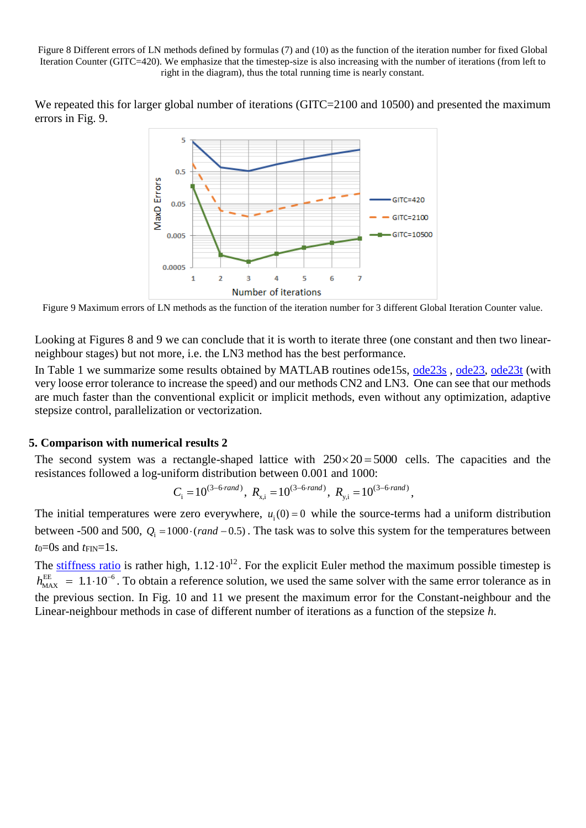Figure 8 Different errors of LN methods defined by formulas (7) and (10) as the function of the iteration number for fixed Global Iteration Counter (GITC=420). We emphasize that the timestep-size is also increasing with the number of iterations (from left to right in the diagram), thus the total running time is nearly constant.

We repeated this for larger global number of iterations (GITC=2100 and 10500) and presented the maximum errors in Fig. 9.



Figure 9 Maximum errors of LN methods as the function of the iteration number for 3 different Global Iteration Counter value.

Looking at Figures 8 and 9 we can conclude that it is worth to iterate three (one constant and then two linearneighbour stages) but not more, i.e. the LN3 method has the best performance.

In Table 1 we summarize some results obtained by MATLAB routines ode15s, [ode23s](https://uk.mathworks.com/help/matlab/ref/ode23s.html), [ode23,](https://uk.mathworks.com/help/matlab/ref/ode23.html) [ode23t](https://uk.mathworks.com/help/matlab/ref/ode23t.html) (with very loose error tolerance to increase the speed) and our methods CN2 and LN3. One can see that our methods are much faster than the conventional explicit or implicit methods, even without any optimization, adaptive stepsize control, parallelization or vectorization.

## **5. Comparison with numerical results 2**

The second system was a rectangle-shaped lattice with  $250 \times 20 = 5000$  cells. The capacities and the resistances followed a log-uniform distribution between 0.001 and 1000:

$$
C_i = 10^{(3-6\text{rand})}
$$
,  $R_{x,i} = 10^{(3-6\text{rand})}$ ,  $R_{y,i} = 10^{(3-6\text{rand})}$ ,

The initial temperatures were zero everywhere,  $u_i(0) = 0$  while the source-terms had a uniform distribution between -500 and 500,  $Q_i = 1000 \cdot (rand - 0.5)$ . The task was to solve this system for the temperatures between *t*0=0s and *t*FIN=1s.

The [stiffness ratio](https://en.wikipedia.org/wiki/Stiff_equation#Stiffness_ratio) is rather high,  $1.12 \cdot 10^{12}$ . For the explicit Euler method the maximum possible timestep is  $h_{\text{MAX}}^{\text{EE}} = 1.1 \cdot 10^{-6}$ . To obtain a reference solution, we used the same solver with the same error tolerance as in the previous section. In Fig. 10 and 11 we present the maximum error for the Constant-neighbour and the Linear-neighbour methods in case of different number of iterations as a function of the stepsize *h*.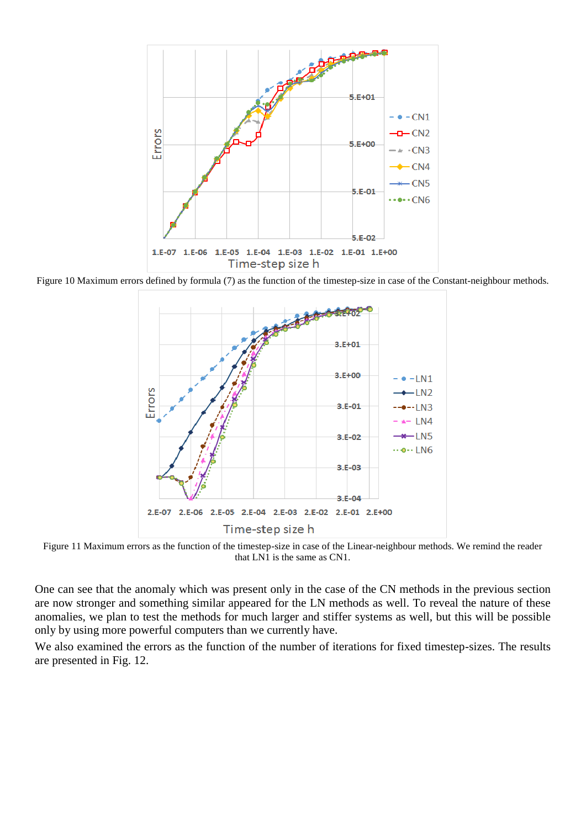

Figure 10 Maximum errors defined by formula (7) as the function of the timestep-size in case of the Constant-neighbour methods.



Figure 11 Maximum errors as the function of the timestep-size in case of the Linear-neighbour methods. We remind the reader that LN1 is the same as CN1.

One can see that the anomaly which was present only in the case of the CN methods in the previous section are now stronger and something similar appeared for the LN methods as well. To reveal the nature of these anomalies, we plan to test the methods for much larger and stiffer systems as well, but this will be possible only by using more powerful computers than we currently have.

We also examined the errors as the function of the number of iterations for fixed timestep-sizes. The results are presented in Fig. 12.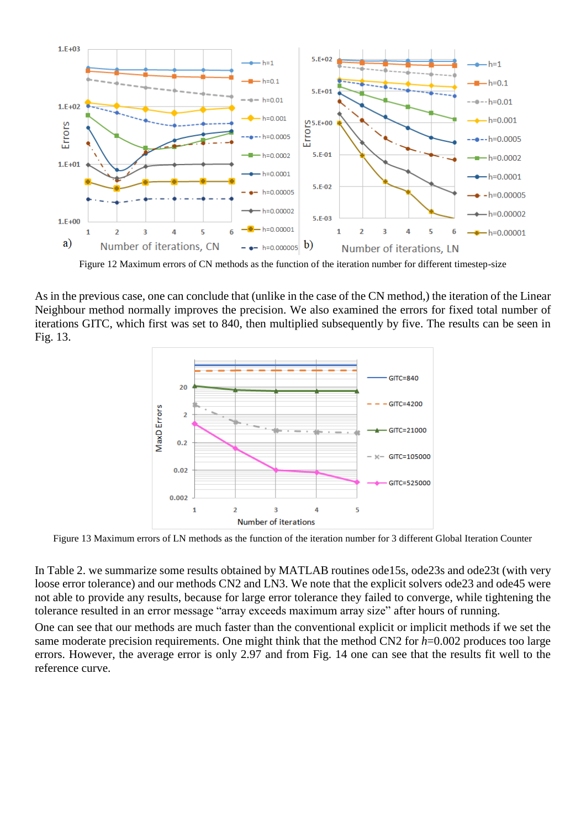

Figure 12 Maximum errors of CN methods as the function of the iteration number for different timestep-size

As in the previous case, one can conclude that (unlike in the case of the CN method,) the iteration of the Linear Neighbour method normally improves the precision. We also examined the errors for fixed total number of iterations GITC, which first was set to 840, then multiplied subsequently by five. The results can be seen in Fig. 13.



Figure 13 Maximum errors of LN methods as the function of the iteration number for 3 different Global Iteration Counter

In Table 2. we summarize some results obtained by MATLAB routines ode15s, ode23s and ode23t (with very loose error tolerance) and our methods CN2 and LN3. We note that the explicit solvers ode23 and ode45 were not able to provide any results, because for large error tolerance they failed to converge, while tightening the tolerance resulted in an error message "array exceeds maximum array size" after hours of running.

One can see that our methods are much faster than the conventional explicit or implicit methods if we set the same moderate precision requirements. One might think that the method CN2 for *h*=0.002 produces too large errors. However, the average error is only 2.97 and from Fig. 14 one can see that the results fit well to the reference curve.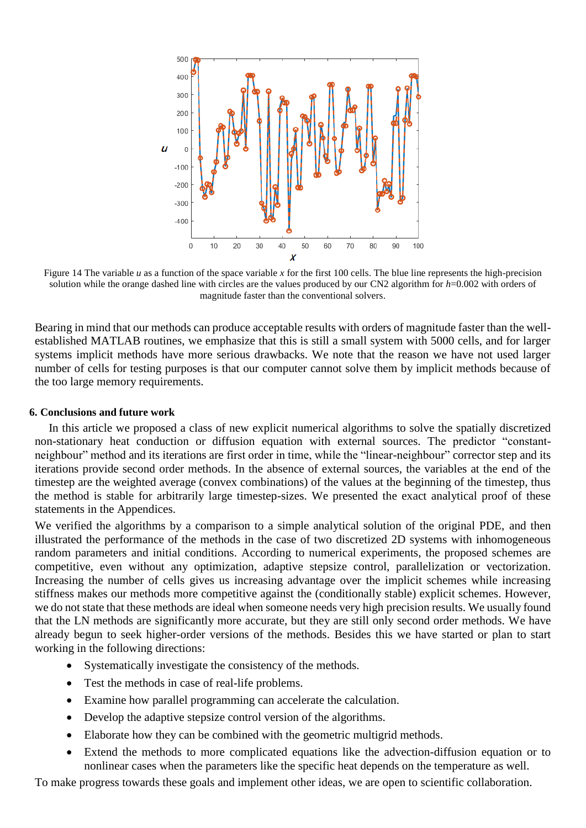

Figure 14 The variable *u* as a function of the space variable *x* for the first 100 cells. The blue line represents the high-precision solution while the orange dashed line with circles are the values produced by our CN2 algorithm for *h*=0.002 with orders of magnitude faster than the conventional solvers.

Bearing in mind that our methods can produce acceptable results with orders of magnitude faster than the wellestablished MATLAB routines, we emphasize that this is still a small system with 5000 cells, and for larger systems implicit methods have more serious drawbacks. We note that the reason we have not used larger number of cells for testing purposes is that our computer cannot solve them by implicit methods because of the too large memory requirements.

## **6. Conclusions and future work**

In this article we proposed a class of new explicit numerical algorithms to solve the spatially discretized non-stationary heat conduction or diffusion equation with external sources. The predictor "constantneighbour" method and its iterations are first order in time, while the "linear-neighbour" corrector step and its iterations provide second order methods. In the absence of external sources, the variables at the end of the timestep are the weighted average (convex combinations) of the values at the beginning of the timestep, thus the method is stable for arbitrarily large timestep-sizes. We presented the exact analytical proof of these statements in the Appendices.

We verified the algorithms by a comparison to a simple analytical solution of the original PDE, and then illustrated the performance of the methods in the case of two discretized 2D systems with inhomogeneous random parameters and initial conditions. According to numerical experiments, the proposed schemes are competitive, even without any optimization, adaptive stepsize control, parallelization or vectorization. Increasing the number of cells gives us increasing advantage over the implicit schemes while increasing stiffness makes our methods more competitive against the (conditionally stable) explicit schemes. However, we do not state that these methods are ideal when someone needs very high precision results. We usually found that the LN methods are significantly more accurate, but they are still only second order methods. We have already begun to seek higher-order versions of the methods. Besides this we have started or plan to start working in the following directions:

- Systematically investigate the consistency of the methods.
- Test the methods in case of real-life problems.
- Examine how parallel programming can accelerate the calculation.
- Develop the adaptive stepsize control version of the algorithms.
- Elaborate how they can be combined with the geometric multigrid methods.
- Extend the methods to more complicated equations like the advection-diffusion equation or to nonlinear cases when the parameters like the specific heat depends on the temperature as well.

To make progress towards these goals and implement other ideas, we are open to scientific collaboration.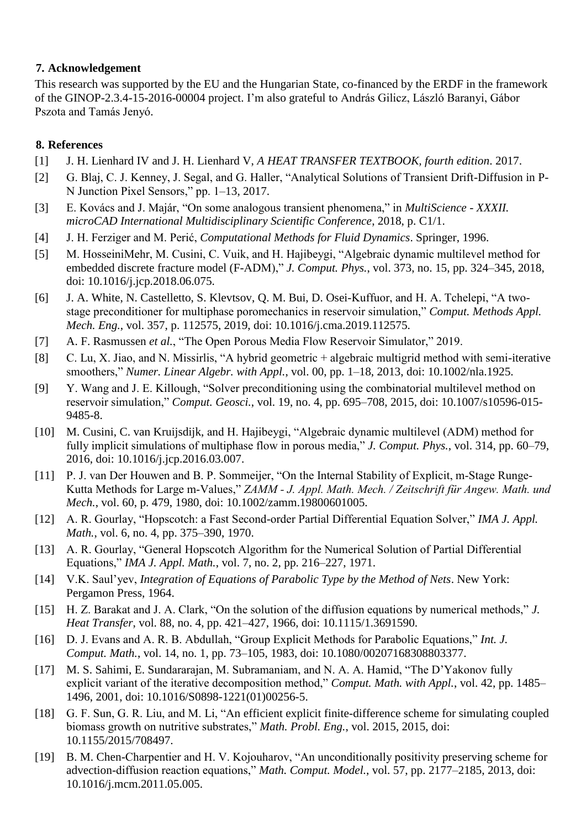# **7. Acknowledgement**

This research was supported by the EU and the Hungarian State, co-financed by the ERDF in the framework of the GINOP-2.3.4-15-2016-00004 project. I'm also grateful to András Gilicz, László Baranyi, Gábor Pszota and Tamás Jenyó.

# **8. References**

- [1] J. H. Lienhard IV and J. H. Lienhard V, *A HEAT TRANSFER TEXTBOOK, fourth edition*. 2017.
- [2] G. Blaj, C. J. Kenney, J. Segal, and G. Haller, "Analytical Solutions of Transient Drift-Diffusion in P-N Junction Pixel Sensors," pp. 1–13, 2017.
- [3] E. Kovács and J. Majár, "On some analogous transient phenomena," in *MultiScience - XXXII. microCAD International Multidisciplinary Scientific Conference*, 2018, p. C1/1.
- [4] J. H. Ferziger and M. Perić, *Computational Methods for Fluid Dynamics*. Springer, 1996.
- [5] M. HosseiniMehr, M. Cusini, C. Vuik, and H. Hajibeygi, "Algebraic dynamic multilevel method for embedded discrete fracture model (F-ADM)," *J. Comput. Phys.*, vol. 373, no. 15, pp. 324–345, 2018, doi: 10.1016/j.jcp.2018.06.075.
- [6] J. A. White, N. Castelletto, S. Klevtsov, Q. M. Bui, D. Osei-Kuffuor, and H. A. Tchelepi, "A twostage preconditioner for multiphase poromechanics in reservoir simulation," *Comput. Methods Appl. Mech. Eng.*, vol. 357, p. 112575, 2019, doi: 10.1016/j.cma.2019.112575.
- [7] A. F. Rasmussen *et al.*, "The Open Porous Media Flow Reservoir Simulator," 2019.
- [8] C. Lu, X. Jiao, and N. Missirlis, "A hybrid geometric + algebraic multigrid method with semi-iterative smoothers," *Numer. Linear Algebr. with Appl.*, vol. 00, pp. 1–18, 2013, doi: 10.1002/nla.1925.
- [9] Y. Wang and J. E. Killough, "Solver preconditioning using the combinatorial multilevel method on reservoir simulation," *Comput. Geosci.*, vol. 19, no. 4, pp. 695–708, 2015, doi: 10.1007/s10596-015- 9485-8.
- [10] M. Cusini, C. van Kruijsdijk, and H. Hajibeygi, "Algebraic dynamic multilevel (ADM) method for fully implicit simulations of multiphase flow in porous media," *J. Comput. Phys.*, vol. 314, pp. 60–79, 2016, doi: 10.1016/j.jcp.2016.03.007.
- [11] P. J. van Der Houwen and B. P. Sommeijer, "On the Internal Stability of Explicit, m-Stage Runge-Kutta Methods for Large m‐Values," *ZAMM ‐ J. Appl. Math. Mech. / Zeitschrift für Angew. Math. und Mech.*, vol. 60, p. 479, 1980, doi: 10.1002/zamm.19800601005.
- [12] A. R. Gourlay, "Hopscotch: a Fast Second-order Partial Differential Equation Solver," *IMA J. Appl. Math.*, vol. 6, no. 4, pp. 375–390, 1970.
- [13] A. R. Gourlay, "General Hopscotch Algorithm for the Numerical Solution of Partial Differential Equations," *IMA J. Appl. Math.*, vol. 7, no. 2, pp. 216–227, 1971.
- [14] V.K. Saul'yev, *Integration of Equations of Parabolic Type by the Method of Nets*. New York: Pergamon Press, 1964.
- [15] H. Z. Barakat and J. A. Clark, "On the solution of the diffusion equations by numerical methods," *J. Heat Transfer*, vol. 88, no. 4, pp. 421–427, 1966, doi: 10.1115/1.3691590.
- [16] D. J. Evans and A. R. B. Abdullah, "Group Explicit Methods for Parabolic Equations," *Int. J. Comput. Math.*, vol. 14, no. 1, pp. 73–105, 1983, doi: 10.1080/00207168308803377.
- [17] M. S. Sahimi, E. Sundararajan, M. Subramaniam, and N. A. A. Hamid, "The D'Yakonov fully explicit variant of the iterative decomposition method," *Comput. Math. with Appl.*, vol. 42, pp. 1485– 1496, 2001, doi: 10.1016/S0898-1221(01)00256-5.
- [18] G. F. Sun, G. R. Liu, and M. Li, "An efficient explicit finite-difference scheme for simulating coupled biomass growth on nutritive substrates," *Math. Probl. Eng.*, vol. 2015, 2015, doi: 10.1155/2015/708497.
- [19] B. M. Chen-Charpentier and H. V. Kojouharov, "An unconditionally positivity preserving scheme for advection-diffusion reaction equations," *Math. Comput. Model.*, vol. 57, pp. 2177–2185, 2013, doi: 10.1016/j.mcm.2011.05.005.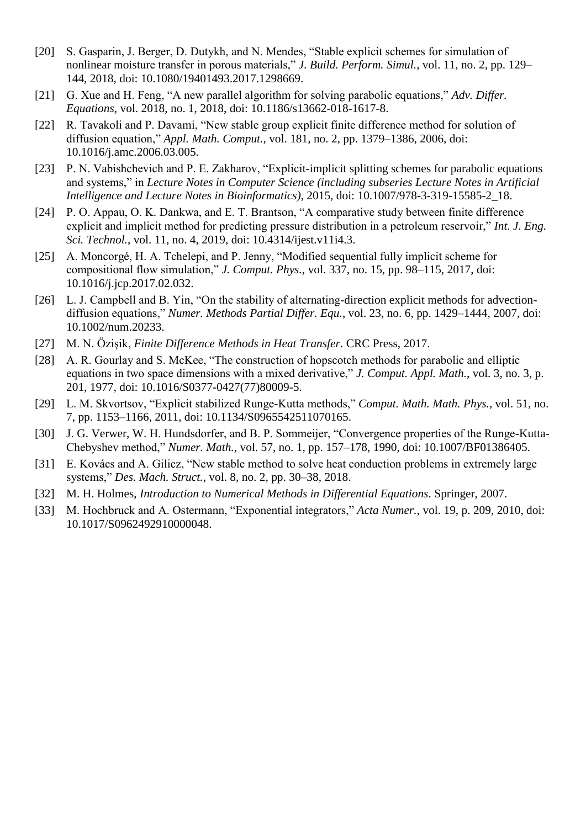- [20] S. Gasparin, J. Berger, D. Dutykh, and N. Mendes, "Stable explicit schemes for simulation of nonlinear moisture transfer in porous materials," *J. Build. Perform. Simul.*, vol. 11, no. 2, pp. 129– 144, 2018, doi: 10.1080/19401493.2017.1298669.
- [21] G. Xue and H. Feng, "A new parallel algorithm for solving parabolic equations," *Adv. Differ. Equations*, vol. 2018, no. 1, 2018, doi: 10.1186/s13662-018-1617-8.
- [22] R. Tavakoli and P. Davami, "New stable group explicit finite difference method for solution of diffusion equation," *Appl. Math. Comput.*, vol. 181, no. 2, pp. 1379–1386, 2006, doi: 10.1016/j.amc.2006.03.005.
- [23] P. N. Vabishchevich and P. E. Zakharov, "Explicit-implicit splitting schemes for parabolic equations and systems," in *Lecture Notes in Computer Science (including subseries Lecture Notes in Artificial Intelligence and Lecture Notes in Bioinformatics)*, 2015, doi: 10.1007/978-3-319-15585-2\_18.
- [24] P. O. Appau, O. K. Dankwa, and E. T. Brantson, "A comparative study between finite difference explicit and implicit method for predicting pressure distribution in a petroleum reservoir," *Int. J. Eng. Sci. Technol.*, vol. 11, no. 4, 2019, doi: 10.4314/ijest.v11i4.3.
- [25] A. Moncorgé, H. A. Tchelepi, and P. Jenny, "Modified sequential fully implicit scheme for compositional flow simulation," *J. Comput. Phys.*, vol. 337, no. 15, pp. 98–115, 2017, doi: 10.1016/j.jcp.2017.02.032.
- [26] L. J. Campbell and B. Yin, "On the stability of alternating-direction explicit methods for advectiondiffusion equations," *Numer. Methods Partial Differ. Equ.*, vol. 23, no. 6, pp. 1429–1444, 2007, doi: 10.1002/num.20233.
- [27] M. N. Özişik, *Finite Difference Methods in Heat Transfer*. CRC Press, 2017.
- [28] A. R. Gourlay and S. McKee, "The construction of hopscotch methods for parabolic and elliptic equations in two space dimensions with a mixed derivative," *J. Comput. Appl. Math.*, vol. 3, no. 3, p. 201, 1977, doi: 10.1016/S0377-0427(77)80009-5.
- [29] L. M. Skvortsov, "Explicit stabilized Runge-Kutta methods," *Comput. Math. Math. Phys.*, vol. 51, no. 7, pp. 1153–1166, 2011, doi: 10.1134/S0965542511070165.
- [30] J. G. Verwer, W. H. Hundsdorfer, and B. P. Sommeijer, "Convergence properties of the Runge-Kutta-Chebyshev method," *Numer. Math.*, vol. 57, no. 1, pp. 157–178, 1990, doi: 10.1007/BF01386405.
- [31] E. Kovács and A. Gilicz, "New stable method to solve heat conduction problems in extremely large systems," *Des. Mach. Struct.*, vol. 8, no. 2, pp. 30–38, 2018.
- [32] M. H. Holmes, *Introduction to Numerical Methods in Differential Equations*. Springer, 2007.
- [33] M. Hochbruck and A. Ostermann, "Exponential integrators," *Acta Numer.*, vol. 19, p. 209, 2010, doi: 10.1017/S0962492910000048.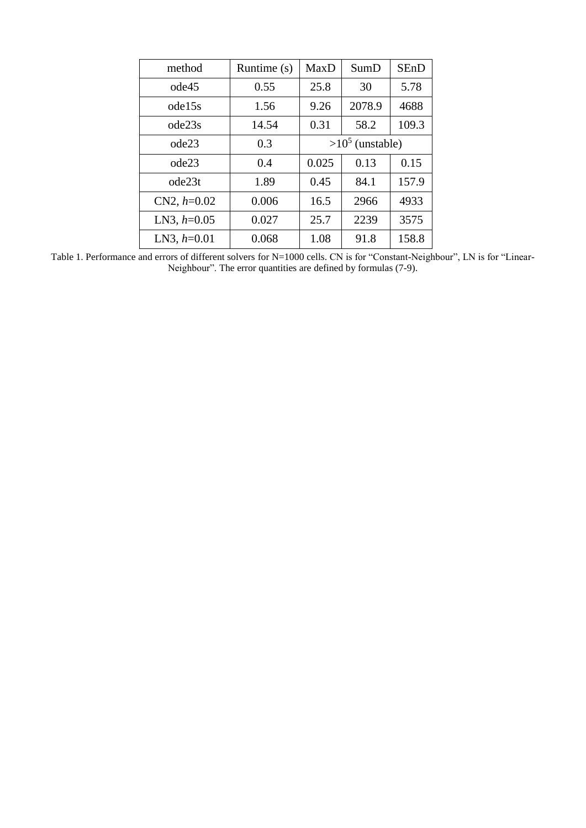| method        | Runtime (s) | MaxD               | SumD   | <b>SEnD</b> |
|---------------|-------------|--------------------|--------|-------------|
| ode45         | 0.55        | 25.8               | 30     | 5.78        |
| ode15s        | 1.56        | 9.26               | 2078.9 | 4688        |
| ode23s        | 14.54       | 0.31               | 58.2   | 109.3       |
| ode23         | 0.3         | $>10^5$ (unstable) |        |             |
| ode23         | 0.4         | 0.025              | 0.13   | 0.15        |
| ode23t        | 1.89        | 0.45               | 84.1   | 157.9       |
| $CN2, h=0.02$ | 0.006       | 16.5               | 2966   | 4933        |
| LN3, $h=0.05$ | 0.027       | 25.7               | 2239   | 3575        |
| LN3, $h=0.01$ | 0.068       | 1.08               | 91.8   | 158.8       |

Table 1. Performance and errors of different solvers for N=1000 cells. CN is for "Constant-Neighbour", LN is for "Linear-Neighbour". The error quantities are defined by formulas (7-9).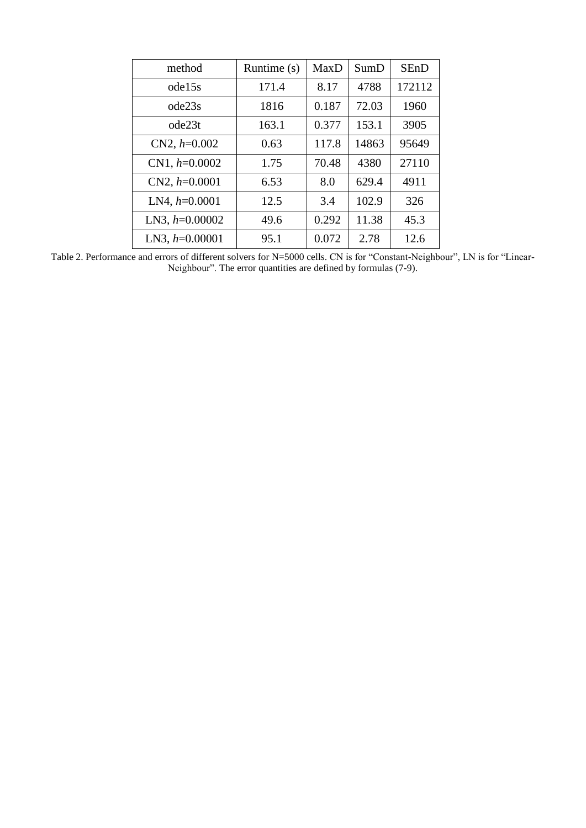| method           | Runtime (s) | MaxD  | SumD  | <b>SEnD</b> |
|------------------|-------------|-------|-------|-------------|
| ode15s           | 171.4       | 8.17  | 4788  | 172112      |
| ode23s           | 1816        | 0.187 | 72.03 | 1960        |
| ode23t           | 163.1       | 0.377 | 153.1 | 3905        |
| $CN2, h=0.002$   | 0.63        | 117.8 | 14863 | 95649       |
| $CN1, h=0.0002$  | 1.75        | 70.48 | 4380  | 27110       |
| $CN2, h=0.0001$  | 6.53        | 8.0   | 629.4 | 4911        |
| LN4, $h=0.0001$  | 12.5        | 3.4   | 102.9 | 326         |
| LN3, $h=0.00002$ | 49.6        | 0.292 | 11.38 | 45.3        |
| LN3, $h=0.00001$ | 95.1        | 0.072 | 2.78  | 12.6        |

Table 2. Performance and errors of different solvers for N=5000 cells. CN is for "Constant-Neighbour", LN is for "Linear-Neighbour". The error quantities are defined by formulas (7-9).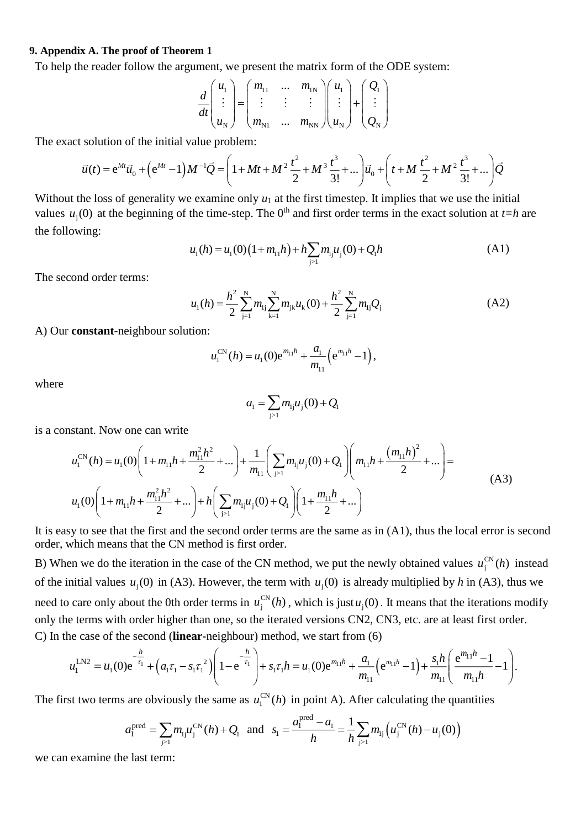## **9. Appendix A. The proof of Theorem 1**

To help the reader follow the argument, we present the matrix form of the ODE system:

$$
\frac{d}{dt} \begin{pmatrix} u_1 \\ \vdots \\ u_N \end{pmatrix} = \begin{pmatrix} m_{11} & \dots & m_{1N} \\ \vdots & \vdots & \vdots \\ m_{N1} & \dots & m_{NN} \end{pmatrix} \begin{pmatrix} u_1 \\ \vdots \\ u_N \end{pmatrix} + \begin{pmatrix} Q_1 \\ \vdots \\ Q_N \end{pmatrix}
$$

The exact solution of the initial value problem:

$$
\vec{u}(t) = e^{Mt}\vec{u}_0 + \left(e^{Mt} - 1\right)M^{-1}\vec{Q} = \left(1 + Mt + M^2\frac{t^2}{2} + M^3\frac{t^3}{3!} + \dots\right)\vec{u}_0 + \left(t + M\frac{t^2}{2} + M^2\frac{t^3}{3!} + \dots\right)\vec{Q}
$$

Without the loss of generality we examine only  $u_1$  at the first timestep. It implies that we use the initial values  $u_j(0)$  at the beginning of the time-step. The 0<sup>th</sup> and first order terms in the exact solution at  $t=h$  are the following:

$$
u_1(h) = u_1(0)\left(1 + m_{11}h\right) + h\sum_{j>1} m_{1j}u_j(0) + Q_1h\tag{A1}
$$

The second order terms:

$$
u_1(h) = \frac{h^2}{2} \sum_{j=1}^{N} m_{ij} \sum_{k=1}^{N} m_{jk} u_k(0) + \frac{h^2}{2} \sum_{j=1}^{N} m_{ij} Q_j
$$
 (A2)

A) Our **constant**-neighbour solution:

$$
u_1^{\text{CN}}(h) = u_1(0)e^{m_{11}h} + \frac{a_1}{m_{11}}\left(e^{m_{11}h} - 1\right),
$$

where

$$
a_1 = \sum_{j>1} m_{1j} u_j(0) + Q_1
$$

is a constant. Now one can write

$$
u_1^{CN}(h) = u_1(0) \left( 1 + m_{11}h + \frac{m_{11}^2 h^2}{2} + \dots \right) + \frac{1}{m_{11}} \left( \sum_{j>1} m_{1j} u_j(0) + Q_1 \right) \left( m_{11}h + \frac{(m_{11}h)^2}{2} + \dots \right) =
$$
  

$$
u_1(0) \left( 1 + m_{11}h + \frac{m_{11}^2 h^2}{2} + \dots \right) + h \left( \sum_{j>1} m_{1j} u_j(0) + Q_1 \right) \left( 1 + \frac{m_{11}h}{2} + \dots \right)
$$
 (A3)

 $\overline{a}$ It is easy to see that the first and the second order terms are the same as in (A1), thus the local error is second order, which means that the CN method is first order.

B) When we do the iteration in the case of the CN method, we put the newly obtained values  $u_i^{\text{CN}}$  $u_j^{\text{CN}}(h)$  instead of the initial values  $u_j(0)$  in (A3). However, the term with  $u_j(0)$  is already multiplied by *h* in (A3), thus we need to care only about the 0th order terms in  $u_i^{\text{CN}}$  $u_j^{\text{CN}}(h)$ , which is just  $u_j(0)$ . It means that the iterations modify only the terms with order higher than one, so the iterated versions CN2, CN3, etc. are at least first order. C) In the case of the second (**linear**-neighbour) method, we start from (6)

$$
u_1^{\text{LN2}} = u_1(0)e^{-\frac{h}{\tau_1}} + \left(a_1\tau_1 - s_1\tau_1^2\right)\left(1 - e^{-\frac{h}{\tau_1}}\right) + s_1\tau_1h = u_1(0)e^{m_{11}h} + \frac{a_1}{m_{11}}\left(e^{m_{11}h} - 1\right) + \frac{s_1h}{m_{11}}\left(\frac{e^{m_{11}h} - 1}{m_{11}h} - 1\right).
$$

The first two terms are obviously the same as  $u_1^{\text{CN}}$  $u_1^{\text{CN}}(h)$  in point A). After calculating the quantities

$$
a_1^{\text{pred}} = \sum_{j>1} m_{ij} u_j^{\text{CN}}(h) + Q_1 \text{ and } s_1 = \frac{a_1^{\text{pred}} - a_1}{h} = \frac{1}{h} \sum_{j>1} m_{ij} \left( u_j^{\text{CN}}(h) - u_j(0) \right)
$$

we can examine the last term: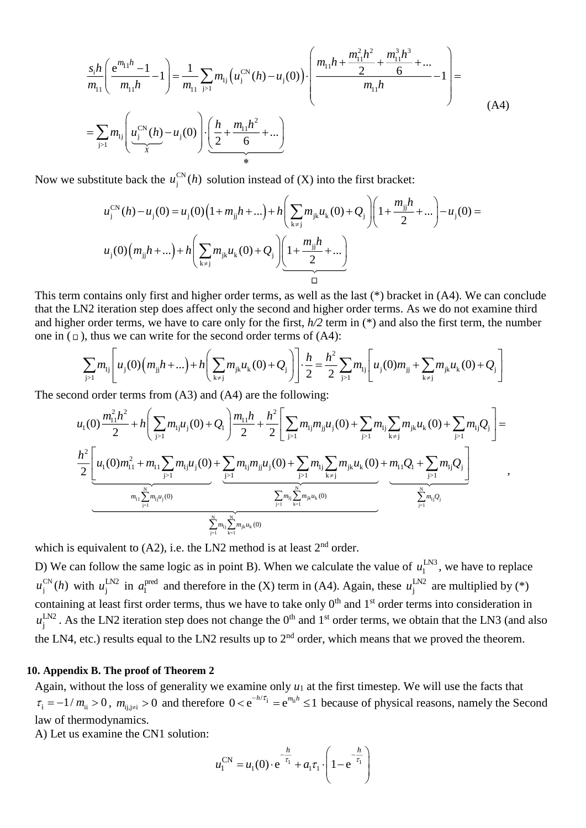$$
\frac{s_i h}{m_{11}} \left( \frac{e^{m_{11}h} - 1}{m_{11}h} - 1 \right) = \frac{1}{m_{11}} \sum_{j \ge 1} m_{1j} \left( u_j^{CN}(h) - u_j(0) \right) \cdot \left( \frac{m_{11}h + \frac{m_{11}^2h^2}{2} + \frac{m_{11}^3h^3}{6} + \dots}{m_{11}h} - 1 \right) = \frac{1}{m_{11}h}
$$
\n(A4)

Now we substitute back the  $u_i^{\text{CN}}$  $u_j^{\text{CN}}(h)$  solution instead of (X) into the first bracket:

$$
u_j^{CN}(h) - u_j(0) = u_j(0) \left(1 + m_{jj}h + \ldots\right) + h \left(\sum_{k \neq j} m_{jk} u_k(0) + Q_j\right) \left(1 + \frac{m_{jj}h}{2} + \ldots\right) - u_j(0) =
$$
  

$$
u_j(0) \left(m_{jj}h + \ldots\right) + h \left(\sum_{k \neq j} m_{jk} u_k(0) + Q_j\right) \underbrace{\left(1 + \frac{m_{jj}h}{2} + \ldots\right)}_{\square}
$$

This term contains only first and higher order terms, as well as the last (\*) bracket in (A4). We can conclude that the LN2 iteration step does affect only the second and higher order terms. As we do not examine third and higher order terms, we have to care only for the first, *h/2* term in (\*) and also the first term, the number one in  $(\square)$ , thus we can write for the second order terms of  $(A4)$ :

$$
\sum_{j>1} m_{1j} \left[ u_j(0) \left( m_{jj} h + ... \right) + h \left( \sum_{k \neq j} m_{jk} u_k(0) + Q_j \right) \right] \cdot \frac{h}{2} = \frac{h^2}{2} \sum_{j>1} m_{1j} \left[ u_j(0) m_{jj} + \sum_{k \neq j} m_{jk} u_k(0) + Q_j \right]
$$

The second order terms from (A3) and (A4) are the following:

$$
u_{1}(0) \frac{m_{11}^{2}h^{2}}{2} + h \left( \sum_{j>1} m_{1j} u_{j}(0) + Q_{1} \right) \frac{m_{11}h}{2} + \frac{h^{2}}{2} \left[ \sum_{j>1} m_{1j} m_{jj} u_{j}(0) + \sum_{j>1} m_{1j} \sum_{k \neq j} m_{jk} u_{k}(0) + \sum_{j>1} m_{1j} Q_{j} \right] =
$$
  

$$
\frac{h^{2}}{2} \left[ u_{1}(0) m_{11}^{2} + m_{11} \sum_{j>1} m_{1j} u_{j}(0) + \sum_{j>1} m_{1j} m_{jj} u_{j}(0) + \sum_{j>1} m_{1j} \sum_{k \neq j} m_{jk} u_{k}(0) + m_{11} Q_{1} + \sum_{j>1} m_{1j} Q_{j} \right]
$$
  

$$
\frac{m_{11} \sum_{j=1}^{N} m_{1j} u_{j}(0)}{\sum_{j=1}^{N} m_{1j} \sum_{k=1}^{N} m_{1j} \sum_{k=1}^{N} m_{1k} u_{k}(0)}
$$

which is equivalent to  $(A2)$ , i.e. the LN2 method is at least  $2<sup>nd</sup>$  order.

D) We can follow the same logic as in point B). When we calculate the value of  $u_1^{\text{LN3}}$  $u_1^{\text{LN3}}$ , we have to replace CN  $u_j^{\text{CN}}(h)$  with  $u_j^{\text{LN2}}$  $u_j^{\text{LN2}}$  in  $a_l^{\text{pred}}$  and therefore in the (X) term in (A4). Again, these  $u_j^{\text{LN2}}$  $u_j^{\text{LN2}}$  are multiplied by (\*) containing at least first order terms, thus we have to take only 0<sup>th</sup> and 1<sup>st</sup> order terms into consideration in LN2  $u_j^{LN2}$ . As the LN2 iteration step does not change the 0<sup>th</sup> and 1<sup>st</sup> order terms, we obtain that the LN3 (and also the LN4, etc.) results equal to the LN2 results up to  $2<sup>nd</sup>$  order, which means that we proved the theorem.

### **10. Appendix B. The proof of Theorem 2**

Again, without the loss of generality we examine only  $u_1$  at the first timestep. We will use the facts that  $\tau_i = -1/m_{ii} > 0$ ,  $m_{ij, j \neq i} > 0$  and therefore  $0 < e^{-h/\tau_i} = e^{m_{ii}h} \leq 1$  because of physical reasons, namely the Second law of thermodynamics.

A) Let us examine the CN1 solution:

$$
u_1^{\text{CN}} = u_1(0) \cdot e^{-\frac{h}{\tau_1}} + a_1 \tau_1 \cdot \left(1 - e^{-\frac{h}{\tau_1}}\right)
$$